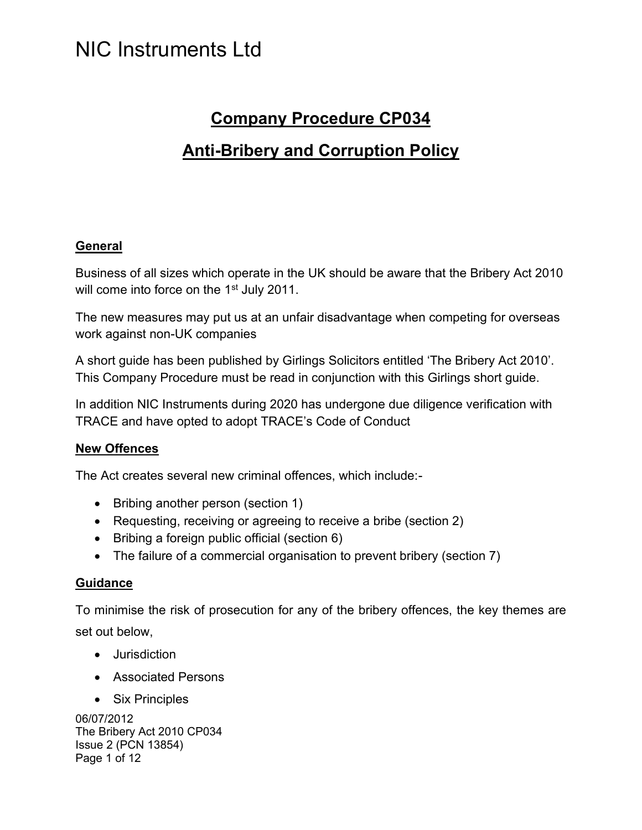### **Company Procedure CP034**

### **[Anti-Bribery and Corruption Policy](https://www.equipuk.com/images/Equip_Anti_Corruption_and_Bribery_Policy.pdf)**

### **General**

Business of all sizes which operate in the UK should be aware that the Bribery Act 2010 will come into force on the 1<sup>st</sup> July 2011.

The new measures may put us at an unfair disadvantage when competing for overseas work against non-UK companies

A short guide has been published by Girlings Solicitors entitled 'The Bribery Act 2010'. This Company Procedure must be read in conjunction with this Girlings short guide.

In addition NIC Instruments during 2020 has undergone due diligence verification with TRACE and have opted to adopt TRACE's Code of Conduct

#### **New Offences**

The Act creates several new criminal offences, which include:-

- Bribing another person (section 1)
- Requesting, receiving or agreeing to receive a bribe (section 2)
- Bribing a foreign public official (section 6)
- The failure of a commercial organisation to prevent bribery (section 7)

#### **Guidance**

To minimise the risk of prosecution for any of the bribery offences, the key themes are set out below,

- Jurisdiction
- Associated Persons
- Six Principles

06/07/2012 The Bribery Act 2010 CP034 Issue 2 (PCN 13854) Page 1 of 12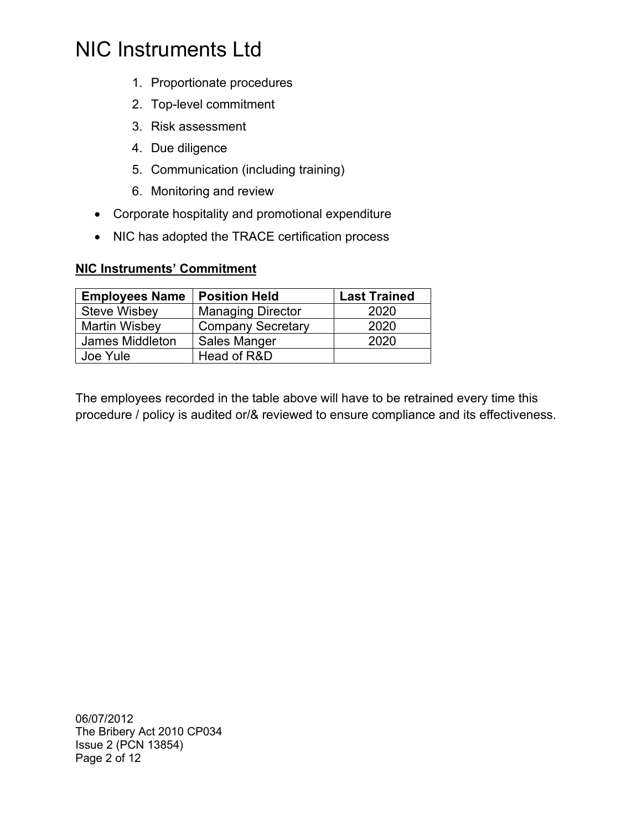- 1. Proportionate procedures
- 2. Top-level commitment
- 3. Risk assessment
- 4. Due diligence
- 5. Communication (including training)
- 6. Monitoring and review
- Corporate hospitality and promotional expenditure
- NIC has adopted the TRACE certification process

#### **NIC Instruments' Commitment**

| <b>Employees Name</b> | <b>Position Held</b>     | <b>Last Trained</b> |
|-----------------------|--------------------------|---------------------|
| <b>Steve Wisbey</b>   | <b>Managing Director</b> | 2020                |
| <b>Martin Wisbey</b>  | <b>Company Secretary</b> | 2020                |
| James Middleton       | <b>Sales Manger</b>      | 2020                |
| Joe Yule              | Head of R&D              |                     |

The employees recorded in the table above will have to be retrained every time this procedure / policy is audited or/& reviewed to ensure compliance and its effectiveness.

06/07/2012 The Bribery Act 2010 CP034 Issue 2 (PCN 13854) Page 2 of 12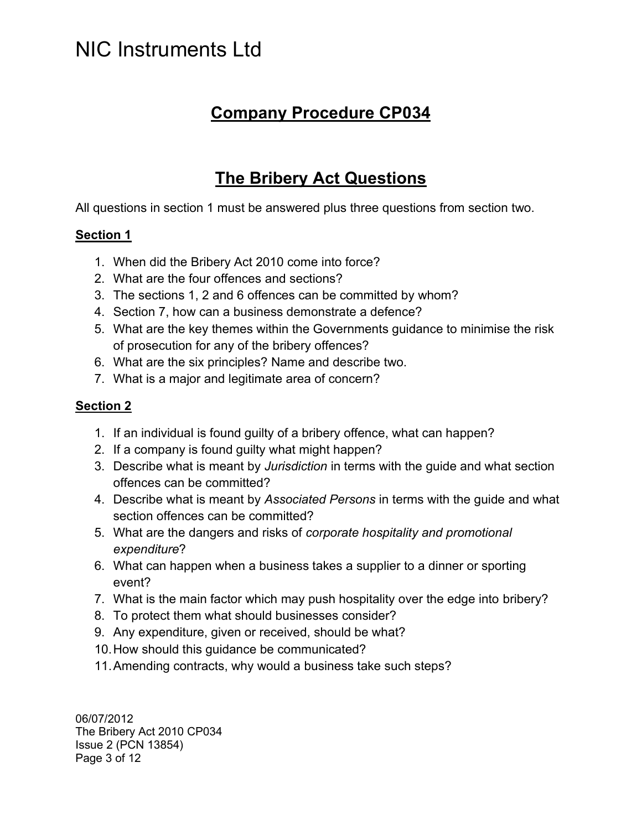### **Company Procedure CP034**

### **The Bribery Act Questions**

All questions in section 1 must be answered plus three questions from section two.

### **Section 1**

- 1. When did the Bribery Act 2010 come into force?
- 2. What are the four offences and sections?
- 3. The sections 1, 2 and 6 offences can be committed by whom?
- 4. Section 7, how can a business demonstrate a defence?
- 5. What are the key themes within the Governments guidance to minimise the risk of prosecution for any of the bribery offences?
- 6. What are the six principles? Name and describe two.
- 7. What is a major and legitimate area of concern?

### **Section 2**

- 1. If an individual is found guilty of a bribery offence, what can happen?
- 2. If a company is found guilty what might happen?
- 3. Describe what is meant by *Jurisdiction* in terms with the guide and what section offences can be committed?
- 4. Describe what is meant by *Associated Persons* in terms with the guide and what section offences can be committed?
- 5. What are the dangers and risks of *corporate hospitality and promotional expenditure*?
- 6. What can happen when a business takes a supplier to a dinner or sporting event?
- 7. What is the main factor which may push hospitality over the edge into bribery?
- 8. To protect them what should businesses consider?
- 9. Any expenditure, given or received, should be what?
- 10.How should this guidance be communicated?
- 11.Amending contracts, why would a business take such steps?

06/07/2012 The Bribery Act 2010 CP034 Issue 2 (PCN 13854) Page 3 of 12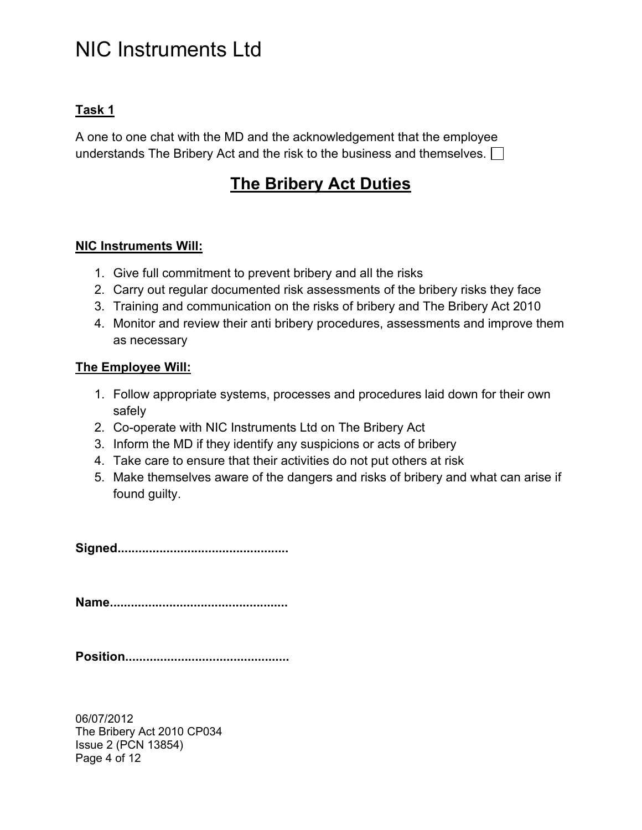### **Task 1**

A one to one chat with the MD and the acknowledgement that the employee understands The Bribery Act and the risk to the business and themselves.  $\Box$ 

### **The Bribery Act Duties**

#### **NIC Instruments Will:**

- 1. Give full commitment to prevent bribery and all the risks
- 2. Carry out regular documented risk assessments of the bribery risks they face
- 3. Training and communication on the risks of bribery and The Bribery Act 2010
- 4. Monitor and review their anti bribery procedures, assessments and improve them as necessary

#### **The Employee Will:**

- 1. Follow appropriate systems, processes and procedures laid down for their own safely
- 2. Co-operate with NIC Instruments Ltd on The Bribery Act
- 3. Inform the MD if they identify any suspicions or acts of bribery
- 4. Take care to ensure that their activities do not put others at risk
- 5. Make themselves aware of the dangers and risks of bribery and what can arise if found guilty.

**Signed.................................................**

**Name...................................................**

**Position...............................................**

06/07/2012 The Bribery Act 2010 CP034 Issue 2 (PCN 13854) Page 4 of 12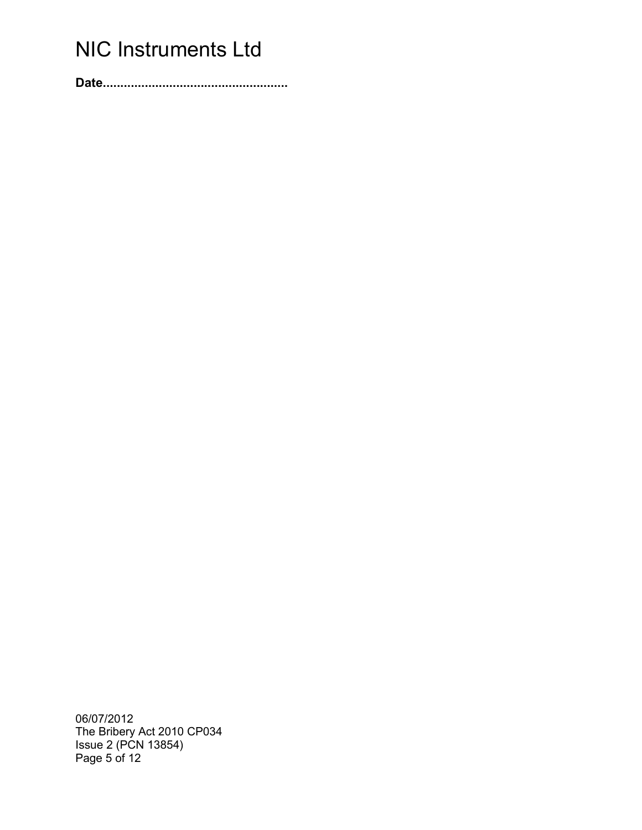**Date.....................................................**

06/07/2012 The Bribery Act 2010 CP034 Issue 2 (PCN 13854) Page 5 of 12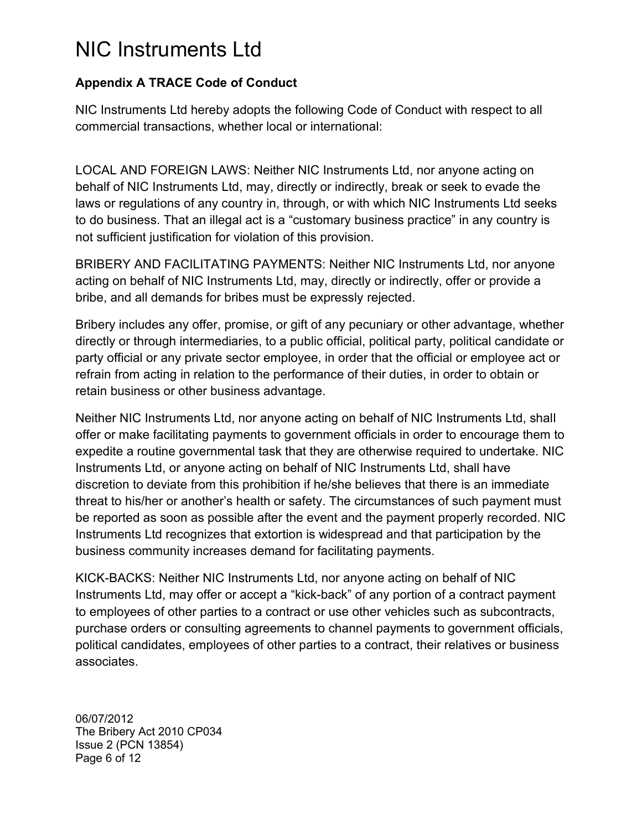### **Appendix A TRACE Code of Conduct**

NIC Instruments Ltd hereby adopts the following Code of Conduct with respect to all commercial transactions, whether local or international:

LOCAL AND FOREIGN LAWS: Neither NIC Instruments Ltd, nor anyone acting on behalf of NIC Instruments Ltd, may, directly or indirectly, break or seek to evade the laws or regulations of any country in, through, or with which NIC Instruments Ltd seeks to do business. That an illegal act is a "customary business practice" in any country is not sufficient justification for violation of this provision.

BRIBERY AND FACILITATING PAYMENTS: Neither NIC Instruments Ltd, nor anyone acting on behalf of NIC Instruments Ltd, may, directly or indirectly, offer or provide a bribe, and all demands for bribes must be expressly rejected.

Bribery includes any offer, promise, or gift of any pecuniary or other advantage, whether directly or through intermediaries, to a public official, political party, political candidate or party official or any private sector employee, in order that the official or employee act or refrain from acting in relation to the performance of their duties, in order to obtain or retain business or other business advantage.

Neither NIC Instruments Ltd, nor anyone acting on behalf of NIC Instruments Ltd, shall offer or make facilitating payments to government officials in order to encourage them to expedite a routine governmental task that they are otherwise required to undertake. NIC Instruments Ltd, or anyone acting on behalf of NIC Instruments Ltd, shall have discretion to deviate from this prohibition if he/she believes that there is an immediate threat to his/her or another's health or safety. The circumstances of such payment must be reported as soon as possible after the event and the payment properly recorded. NIC Instruments Ltd recognizes that extortion is widespread and that participation by the business community increases demand for facilitating payments.

KICK-BACKS: Neither NIC Instruments Ltd, nor anyone acting on behalf of NIC Instruments Ltd, may offer or accept a "kick-back" of any portion of a contract payment to employees of other parties to a contract or use other vehicles such as subcontracts, purchase orders or consulting agreements to channel payments to government officials, political candidates, employees of other parties to a contract, their relatives or business associates.

06/07/2012 The Bribery Act 2010 CP034 Issue 2 (PCN 13854) Page 6 of 12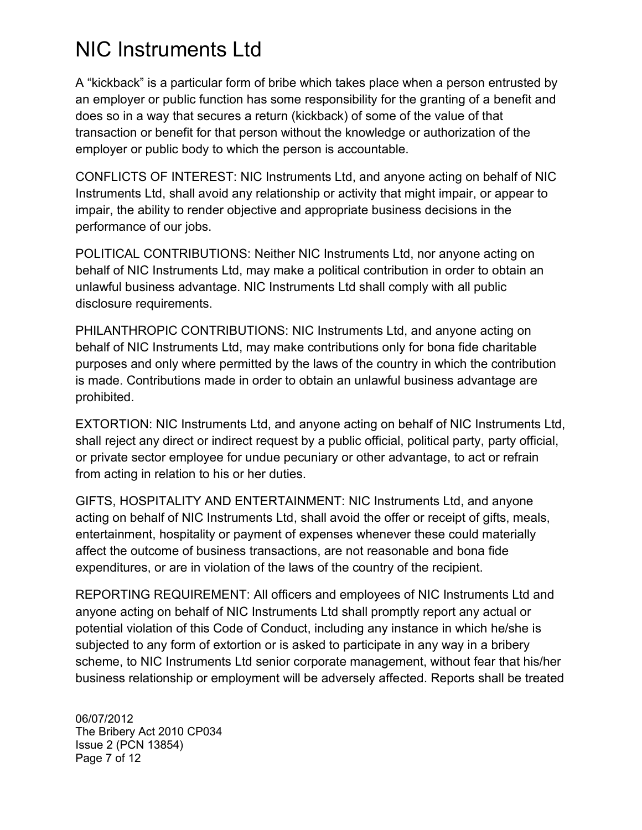A "kickback" is a particular form of bribe which takes place when a person entrusted by an employer or public function has some responsibility for the granting of a benefit and does so in a way that secures a return (kickback) of some of the value of that transaction or benefit for that person without the knowledge or authorization of the employer or public body to which the person is accountable.

CONFLICTS OF INTEREST: NIC Instruments Ltd, and anyone acting on behalf of NIC Instruments Ltd, shall avoid any relationship or activity that might impair, or appear to impair, the ability to render objective and appropriate business decisions in the performance of our jobs.

POLITICAL CONTRIBUTIONS: Neither NIC Instruments Ltd, nor anyone acting on behalf of NIC Instruments Ltd, may make a political contribution in order to obtain an unlawful business advantage. NIC Instruments Ltd shall comply with all public disclosure requirements.

PHILANTHROPIC CONTRIBUTIONS: NIC Instruments Ltd, and anyone acting on behalf of NIC Instruments Ltd, may make contributions only for bona fide charitable purposes and only where permitted by the laws of the country in which the contribution is made. Contributions made in order to obtain an unlawful business advantage are prohibited.

EXTORTION: NIC Instruments Ltd, and anyone acting on behalf of NIC Instruments Ltd, shall reject any direct or indirect request by a public official, political party, party official, or private sector employee for undue pecuniary or other advantage, to act or refrain from acting in relation to his or her duties.

GIFTS, HOSPITALITY AND ENTERTAINMENT: NIC Instruments Ltd, and anyone acting on behalf of NIC Instruments Ltd, shall avoid the offer or receipt of gifts, meals, entertainment, hospitality or payment of expenses whenever these could materially affect the outcome of business transactions, are not reasonable and bona fide expenditures, or are in violation of the laws of the country of the recipient.

REPORTING REQUIREMENT: All officers and employees of NIC Instruments Ltd and anyone acting on behalf of NIC Instruments Ltd shall promptly report any actual or potential violation of this Code of Conduct, including any instance in which he/she is subjected to any form of extortion or is asked to participate in any way in a bribery scheme, to NIC Instruments Ltd senior corporate management, without fear that his/her business relationship or employment will be adversely affected. Reports shall be treated

06/07/2012 The Bribery Act 2010 CP034 Issue 2 (PCN 13854) Page 7 of 12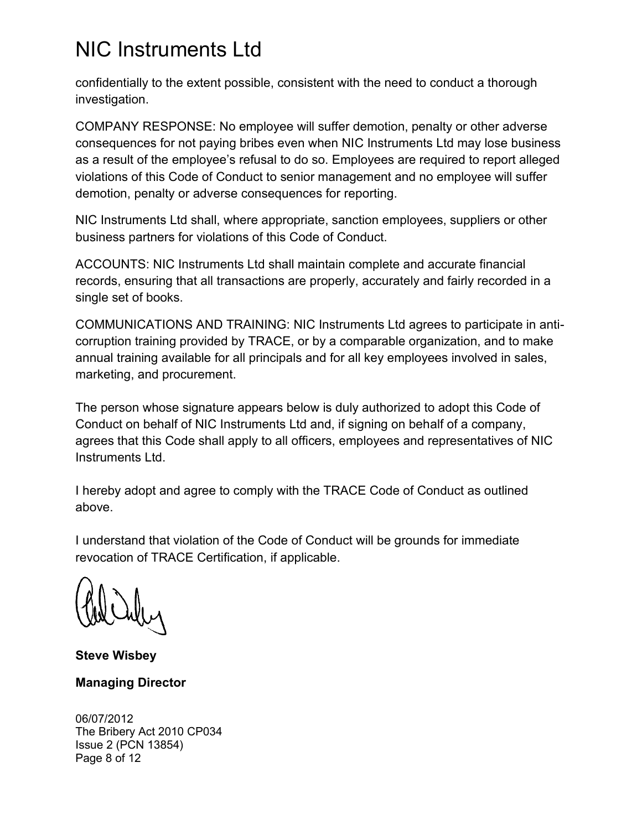confidentially to the extent possible, consistent with the need to conduct a thorough investigation.

COMPANY RESPONSE: No employee will suffer demotion, penalty or other adverse consequences for not paying bribes even when NIC Instruments Ltd may lose business as a result of the employee's refusal to do so. Employees are required to report alleged violations of this Code of Conduct to senior management and no employee will suffer demotion, penalty or adverse consequences for reporting.

NIC Instruments Ltd shall, where appropriate, sanction employees, suppliers or other business partners for violations of this Code of Conduct.

ACCOUNTS: NIC Instruments Ltd shall maintain complete and accurate financial records, ensuring that all transactions are properly, accurately and fairly recorded in a single set of books.

COMMUNICATIONS AND TRAINING: NIC Instruments Ltd agrees to participate in anticorruption training provided by TRACE, or by a comparable organization, and to make annual training available for all principals and for all key employees involved in sales, marketing, and procurement.

The person whose signature appears below is duly authorized to adopt this Code of Conduct on behalf of NIC Instruments Ltd and, if signing on behalf of a company, agrees that this Code shall apply to all officers, employees and representatives of NIC Instruments Ltd.

I hereby adopt and agree to comply with the TRACE Code of Conduct as outlined above.

I understand that violation of the Code of Conduct will be grounds for immediate revocation of TRACE Certification, if applicable.

**Steve Wisbey**

**Managing Director**

06/07/2012 The Bribery Act 2010 CP034 Issue 2 (PCN 13854) Page 8 of 12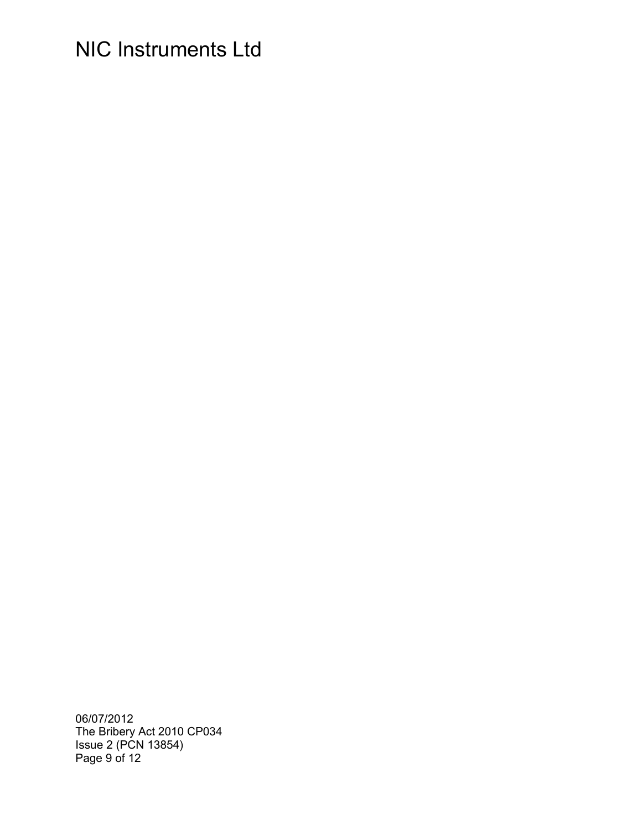06/07/2012 The Bribery Act 2010 CP034 Issue 2 (PCN 13854) Page 9 of 12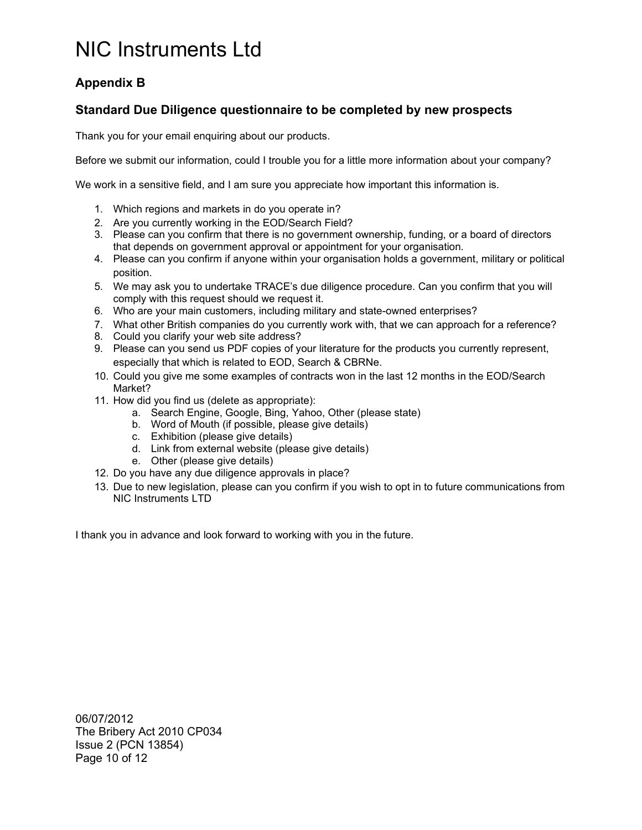### **Appendix B**

#### **Standard Due Diligence questionnaire to be completed by new prospects**

Thank you for your email enquiring about our products.

Before we submit our information, could I trouble you for a little more information about your company?

We work in a sensitive field, and I am sure you appreciate how important this information is.

- 1. Which regions and markets in do you operate in?
- 2. Are you currently working in the EOD/Search Field?
- 3. Please can you confirm that there is no government ownership, funding, or a board of directors that depends on government approval or appointment for your organisation.
- 4. Please can you confirm if anyone within your organisation holds a government, military or political position.
- 5. We may ask you to undertake TRACE's due diligence procedure. Can you confirm that you will comply with this request should we request it.
- 6. Who are your main customers, including military and state-owned enterprises?
- 7. What other British companies do you currently work with, that we can approach for a reference?
- 8. Could you clarify your web site address?
- 9. Please can you send us PDF copies of your literature for the products you currently represent, especially that which is related to EOD, Search & CBRNe.
- 10. Could you give me some examples of contracts won in the last 12 months in the EOD/Search Market?
- 11. How did you find us (delete as appropriate):
	- a. Search Engine, Google, Bing, Yahoo, Other (please state)
	- b. Word of Mouth (if possible, please give details)
	- c. Exhibition (please give details)
	- d. Link from external website (please give details)
	- e. Other (please give details)
- 12. Do you have any due diligence approvals in place?
- 13. Due to new legislation, please can you confirm if you wish to opt in to future communications from NIC Instruments LTD

I thank you in advance and look forward to working with you in the future.

06/07/2012 The Bribery Act 2010 CP034 Issue 2 (PCN 13854) Page 10 of 12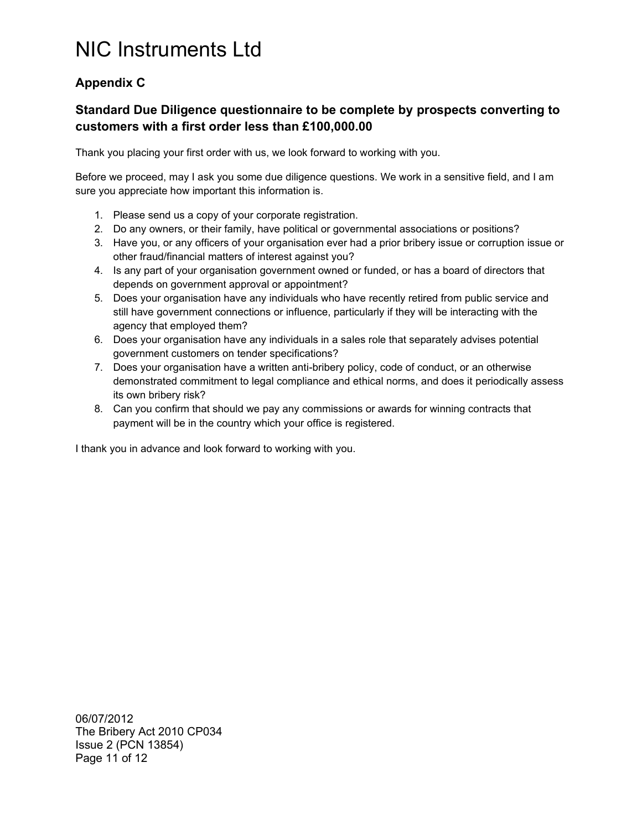### **Appendix C**

### **Standard Due Diligence questionnaire to be complete by prospects converting to customers with a first order less than £100,000.00**

Thank you placing your first order with us, we look forward to working with you.

Before we proceed, may I ask you some due diligence questions. We work in a sensitive field, and I am sure you appreciate how important this information is.

- 1. Please send us a copy of your corporate registration.
- 2. Do any owners, or their family, have political or governmental associations or positions?
- 3. Have you, or any officers of your organisation ever had a prior bribery issue or corruption issue or other fraud/financial matters of interest against you?
- 4. Is any part of your organisation government owned or funded, or has a board of directors that depends on government approval or appointment?
- 5. Does your organisation have any individuals who have recently retired from public service and still have government connections or influence, particularly if they will be interacting with the agency that employed them?
- 6. Does your organisation have any individuals in a sales role that separately advises potential government customers on tender specifications?
- 7. Does your organisation have a written anti-bribery policy, code of conduct, or an otherwise demonstrated commitment to legal compliance and ethical norms, and does it periodically assess its own bribery risk?
- 8. Can you confirm that should we pay any commissions or awards for winning contracts that payment will be in the country which your office is registered.

I thank you in advance and look forward to working with you.

06/07/2012 The Bribery Act 2010 CP034 Issue 2 (PCN 13854) Page 11 of 12